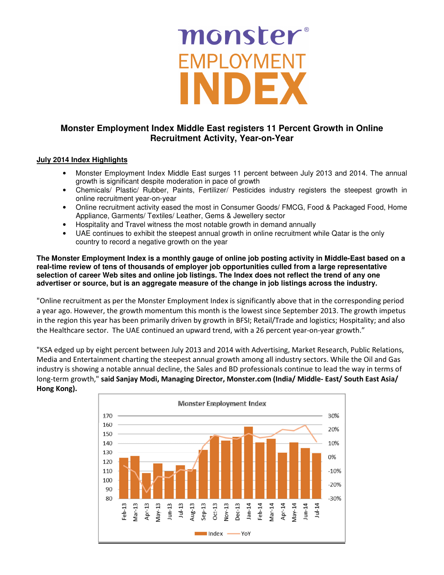# monster® EMPLOYMENT

## **Monster Employment Index Middle East registers 11 Percent Growth in Online Recruitment Activity, Year-on-Year**

## **July 2014 Index Highlights**

- Monster Employment Index Middle East surges 11 percent between July 2013 and 2014. The annual growth is significant despite moderation in pace of growth
- Chemicals/ Plastic/ Rubber, Paints, Fertilizer/ Pesticides industry registers the steepest growth in online recruitment year-on-year
- Online recruitment activity eased the most in Consumer Goods/ FMCG, Food & Packaged Food, Home Appliance, Garments/ Textiles/ Leather, Gems & Jewellery sector
- Hospitality and Travel witness the most notable growth in demand annually
- UAE continues to exhibit the steepest annual growth in online recruitment while Qatar is the only country to record a negative growth on the year

**The Monster Employment Index is a monthly gauge of online job posting activity in Middle-East based on a real-time review of tens of thousands of employer job opportunities culled from a large representative selection of career Web sites and online job listings. The Index does not reflect the trend of any one advertiser or source, but is an aggregate measure of the change in job listings across the industry.** 

"Online recruitment as per the Monster Employment Index is significantly above that in the corresponding period a year ago. However, the growth momentum this month is the lowest since September 2013. The growth impetus in the region this year has been primarily driven by growth in BFSI; Retail/Trade and logistics; Hospitality; and also the Healthcare sector. The UAE continued an upward trend, with a 26 percent year-on-year growth."

"KSA edged up by eight percent between July 2013 and 2014 with Advertising, Market Research, Public Relations, Media and Entertainment charting the steepest annual growth among all industry sectors. While the Oil and Gas industry is showing a notable annual decline, the Sales and BD professionals continue to lead the way in terms of long-term growth," said Sanjay Modi, Managing Director, Monster.com (India/ Middle- East/ South East Asia/ Hong Kong).

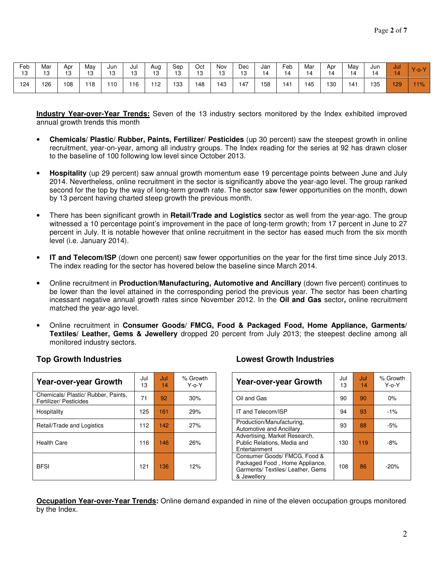| Feb<br>1 Q<br>ں ا | Mar<br>$\overline{10}$<br>ט ו | Apr<br>10 | May<br>13 | Jun<br>13 | Jul<br>13 | Aug<br>13 | Sep<br>13 | Oct<br>13 | Nov<br>13 | Dec<br>13 | Jan<br>14 | Feb<br>14 | Mar<br>14 | Apr<br>14 | May<br>14 | Jun<br>14 | Jul | $Y$ -o- $Y$ |
|-------------------|-------------------------------|-----------|-----------|-----------|-----------|-----------|-----------|-----------|-----------|-----------|-----------|-----------|-----------|-----------|-----------|-----------|-----|-------------|
| 124               | 126                           | 108       | 118       | 110       | 116       | 112       | 133       | 148       | 143       | 147       | 158       | 141       | 145       | 130       | 41        | 35        | 29  | 11%         |

**Industry Year-over-Year Trends:** Seven of the 13 industry sectors monitored by the Index exhibited improved annual growth trends this month

- **Chemicals/ Plastic/ Rubber, Paints, Fertilizer/ Pesticides** (up 30 percent) saw the steepest growth in online recruitment, year-on-year, among all industry groups. The Index reading for the series at 92 has drawn closer to the baseline of 100 following low level since October 2013.
- **Hospitality** (up 29 percent) saw annual growth momentum ease 19 percentage points between June and July 2014. Nevertheless, online recruitment in the sector is significantly above the year-ago level. The group ranked second for the top by the way of long-term growth rate. The sector saw fewer opportunities on the month, down by 13 percent having charted steep growth the previous month.
- There has been significant growth in **Retail/Trade and Logistics** sector as well from the year-ago. The group witnessed a 10 percentage point's improvement in the pace of long-term growth; from 17 percent in June to 27 percent in July. It is notable however that online recruitment in the sector has eased much from the six month level (i.e. January 2014).
- **IT and Telecom/ISP** (down one percent) saw fewer opportunities on the year for the first time since July 2013. The index reading for the sector has hovered below the baseline since March 2014.
- Online recruitment in **Production/Manufacturing, Automotive and Ancillary** (down five percent) continues to be lower than the level attained in the corresponding period the previous year. The sector has been charting incessant negative annual growth rates since November 2012. In the **Oil and Gas** sector**,** online recruitment matched the year-ago level.
- Online recruitment in **Consumer Goods/ FMCG, Food & Packaged Food, Home Appliance, Garments/ Textiles/ Leather, Gems & Jewellery** dropped 20 percent from July 2013; the steepest decline among all monitored industry sectors.

| Year-over-year Growth                                         | Jul<br>13 | Jul<br>14 | % Growth<br>$Y$ -o- $Y$ | Year-over-year Growth                                                                                              | Jul<br>13 | Jul<br>14 | % Grov<br>$Y$ -o- $Y$ |
|---------------------------------------------------------------|-----------|-----------|-------------------------|--------------------------------------------------------------------------------------------------------------------|-----------|-----------|-----------------------|
| Chemicals/ Plastic/ Rubber, Paints,<br>Fertilizer/ Pesticides | 71        | 92        | 30%                     | Oil and Gas                                                                                                        | 90        | 90        | $0\%$                 |
| Hospitality                                                   | 125       | 161       | 29%                     | IT and Telecom/ISP                                                                                                 | 94        | 93        | $-1\%$                |
| Retail/Trade and Logistics                                    | 112       | 142       | 27%                     | Production/Manufacturing,<br><b>Automotive and Ancillary</b>                                                       | 93        | 88        | $-5%$                 |
| <b>Health Care</b>                                            | 116       | 146       | 26%                     | Advertising, Market Research,<br>Public Relations, Media and<br>Entertainment                                      | 130       | 119       | $-8%$                 |
| <b>BFSI</b>                                                   | 121       | 136       | 12%                     | Consumer Goods/ FMCG, Food &<br>Packaged Food, Home Appliance,<br>Garments/ Textiles/ Leather, Gems<br>& Jewellerv | 108       | 86        | $-20%$                |

### **Top Growth Industries Lowest Growth Industries**

| Growth<br>Y-o-Y |               | <b>Year-over-year Growth</b>                                                                        | Jul<br>13 | Jul<br>14 | % Growth<br>$Y$ -0- $Y$ |
|-----------------|---------------|-----------------------------------------------------------------------------------------------------|-----------|-----------|-------------------------|
| 30%             | Oil and Gas   |                                                                                                     | 90        | 90        | $0\%$                   |
| 29%             |               | IT and Telecom/ISP                                                                                  | 94        | 93        | $-1\%$                  |
| 27%             |               | Production/Manufacturing,<br>Automotive and Ancillary                                               | 93        | 88        | $-5%$                   |
| 26%             | Entertainment | Advertising, Market Research,<br>Public Relations, Media and                                        | 130       | 119       | $-8%$                   |
| 12%             | & Jewellery   | Consumer Goods/ FMCG, Food &<br>Packaged Food, Home Appliance,<br>Garments/ Textiles/ Leather, Gems | 108       | 86        | $-20%$                  |

**Occupation Year-over-Year Trends:** Online demand expanded in nine of the eleven occupation groups monitored by the Index.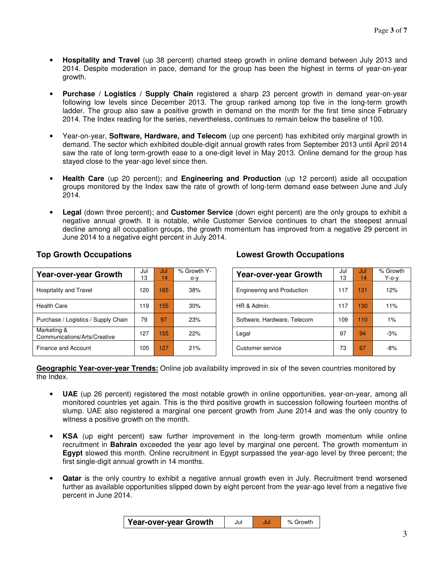- **Hospitality and Travel** (up 38 percent) charted steep growth in online demand between July 2013 and 2014. Despite moderation in pace, demand for the group has been the highest in terms of year-on-year growth.
- **Purchase / Logistics / Supply Chain** registered a sharp 23 percent growth in demand year-on-year following low levels since December 2013. The group ranked among top five in the long-term growth ladder. The group also saw a positive growth in demand on the month for the first time since February 2014. The Index reading for the series, nevertheless, continues to remain below the baseline of 100.
- Year-on-year, **Software, Hardware, and Telecom** (up one percent) has exhibited only marginal growth in demand. The sector which exhibited double-digit annual growth rates from September 2013 until April 2014 saw the rate of long term-growth ease to a one-digit level in May 2013. Online demand for the group has stayed close to the year-ago level since then.
- **Health Care** (up 20 percent); and **Engineering and Production** (up 12 percent) aside all occupation groups monitored by the Index saw the rate of growth of long-term demand ease between June and July 2014.
- **Legal** (down three percent); and **Customer Service** (down eight percent) are the only groups to exhibit a negative annual growth. It is notable, while Customer Service continues to chart the steepest annual decline among all occupation groups, the growth momentum has improved from a negative 29 percent in June 2014 to a negative eight percent in July 2014.

| <b>Year-over-year Growth</b>                | Jul | Jul | % Growth Y- | <b>Year-over-year Growth</b>      | Jul | Jul | % Grow   |
|---------------------------------------------|-----|-----|-------------|-----------------------------------|-----|-----|----------|
|                                             | 13  | 14  | o-v         |                                   | 13  | 14  | $Y$ -o-y |
| Hospitality and Travel                      | 120 | 165 | 38%         | <b>Engineering and Production</b> | 117 | 131 | 12%      |
| <b>Health Care</b>                          | 19  | 155 | 30%         | HR & Admin.                       | 117 | 130 | 11%      |
| Purchase / Logistics / Supply Chain         | 79  | 97  | 23%         | Software, Hardware, Telecom       | 109 | 110 | 1%       |
| Marketing &<br>Communications/Arts/Creative | 127 | 155 | 22%         | Legal                             | 97  | 94  | $-3%$    |
| Finance and Account                         | 105 | 127 | 21%         | Customer service                  | 73  | 67  | -8%      |

## **Top Growth Occupations Lowest Growth Occupations**

| owth Y-<br>o-y | <b>Year-over-year Growth</b> | Jul<br>13 | Jul<br>14 | % Growth<br>$Y$ -o-v |
|----------------|------------------------------|-----------|-----------|----------------------|
| 8%             | Engineering and Production   | 117       | 131       | 12%                  |
| 30%            | HR & Admin.                  | 117       | 130       | 11%                  |
| 23%            | Software, Hardware, Telecom  | 109       | 110       | $1\%$                |
| 22%            | Legal                        | 97        | 94        | $-3%$                |
| 21%            | Customer service             | 73        | 67        | $-8%$                |

**Geographic Year-over-year Trends:** Online job availability improved in six of the seven countries monitored by the Index.

- **UAE** (up 26 percent) registered the most notable growth in online opportunities, year-on-year, among all monitored countries yet again. This is the third positive growth in succession following fourteen months of slump. UAE also registered a marginal one percent growth from June 2014 and was the only country to witness a positive growth on the month.
- **KSA** (up eight percent) saw further improvement in the long-term growth momentum while online recruitment in **Bahrain** exceeded the year ago level by marginal one percent. The growth momentum in **Egypt** slowed this month. Online recruitment in Egypt surpassed the year-ago level by three percent; the first single-digit annual growth in 14 months.
- **Qatar** is the only country to exhibit a negative annual growth even in July. Recruitment trend worsened further as available opportunities slipped down by eight percent from the year-ago level from a negative five percent in June 2014.

| Year-over-year Growth | Jul |  | % Growth |
|-----------------------|-----|--|----------|
|-----------------------|-----|--|----------|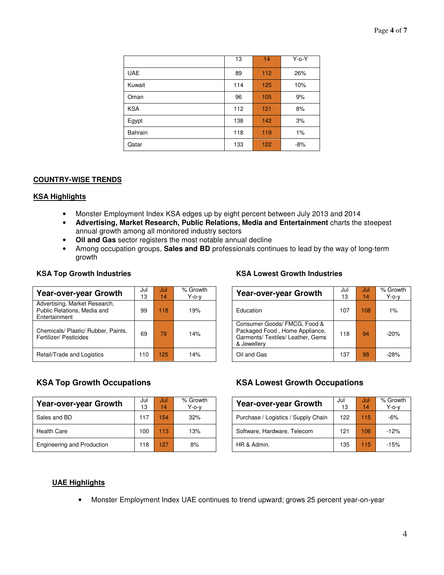|                | 13  | 14               | $Y$ -o- $Y$ |
|----------------|-----|------------------|-------------|
| <b>UAE</b>     | 89  | 112              | 26%         |
| Kuwait         | 114 | 125              | 10%         |
| Oman           | 96  | 105              | 9%          |
| <b>KSA</b>     | 112 | 121              | 8%          |
| Egypt          | 138 | 142              | 3%          |
| <b>Bahrain</b> | 118 | 119              | 1%          |
| Qatar          | 133 | 122 <sub>1</sub> | $-8%$       |

### **COUNTRY-WISE TRENDS**

#### **KSA Highlights**

- Monster Employment Index KSA edges up by eight percent between July 2013 and 2014
- **Advertising, Market Research, Public Relations, Media and Entertainment** charts the steepest annual growth among all monitored industry sectors
- **Oil and Gas** sector registers the most notable annual decline
- Among occupation groups, **Sales and BD** professionals continues to lead by the way of long-term growth

| <b>Year-over-year Growth</b>                                                  | Jul<br>13 | Jul<br>14 | % Growth<br>$Y$ -o-v | <b>Year-over-year Growth</b>                                                                                       | Jul<br>13 | Jul<br>14 | % Grow<br>$Y$ -o-y |
|-------------------------------------------------------------------------------|-----------|-----------|----------------------|--------------------------------------------------------------------------------------------------------------------|-----------|-----------|--------------------|
| Advertising, Market Research,<br>Public Relations, Media and<br>Entertainment | 99        | 118       | 19%                  | Education                                                                                                          | 107       | 108       | $1\%$              |
| Chemicals/ Plastic/ Rubber, Paints,<br>Fertilizer/ Pesticides                 | 69        | 79        | 14%                  | Consumer Goods/ FMCG, Food &<br>Packaged Food, Home Appliance,<br>Garments/ Textiles/ Leather, Gems<br>& Jewellerv | 118       | 94        | $-20%$             |
| Retail/Trade and Logistics                                                    | 110       | 125       | 14%                  | Oil and Gas                                                                                                        | 137       | 98        | $-28%$             |

| <b>Year-over-year Growth</b>      | Jul<br>13 | Jul<br>14        | % Growth<br>$Y$ -o-v | Year-over-year Growth               | Jul<br>13 | Jul<br>14 | % Grow<br>$Y$ -o-v |
|-----------------------------------|-----------|------------------|----------------------|-------------------------------------|-----------|-----------|--------------------|
| Sales and BD                      | 117       | 154 <sup>°</sup> | 32%                  | Purchase / Logistics / Supply Chain | 122       | 115       | -6%                |
| <b>Health Care</b>                | 100       | 113              | 13%                  | Software, Hardware, Telecom         | 121       | 106       | $-12%$             |
| <b>Engineering and Production</b> | 118       | 127              | 8%                   | HR & Admin.                         | 135       | 115       | $-15%$             |

#### **KSA Top Growth Industries KSA Lowest Growth Industries**

| Jul<br>13 | Jul<br>14. | % Growth<br>Y-o-v | <b>Year-over-year Growth</b>                                                                                       | Jul<br>13 | Jul<br>14 | % Growth<br>$Y$ -o-v |
|-----------|------------|-------------------|--------------------------------------------------------------------------------------------------------------------|-----------|-----------|----------------------|
| 99        | 118        | 19%               | Education                                                                                                          | 107       | 108       | 1%                   |
| 69        | 79         | 14%               | Consumer Goods/ FMCG, Food &<br>Packaged Food, Home Appliance,<br>Garments/ Textiles/ Leather, Gems<br>& Jewellery | 118       | 94        | $-20%$               |
| 10        | 125        | 14%               | Oil and Gas                                                                                                        | 137       | 98        | $-28%$               |

### **KSA Top Growth Occupations KSA Lowest Growth Occupations**

| Growth<br>Ү-о-у | <b>Year-over-year Growth</b>        | Jul<br>13 | Jul<br>14 | % Growth<br>$Y$ -o-v |
|-----------------|-------------------------------------|-----------|-----------|----------------------|
| 32%             | Purchase / Logistics / Supply Chain | 122       | 115       | -6%                  |
| 13%             | Software, Hardware, Telecom         | 121       | 106       | $-12%$               |
| 8%              | HR & Admin.                         | 135       | 115       | $-15%$               |

### **UAE Highlights**

• Monster Employment Index UAE continues to trend upward; grows 25 percent year-on-year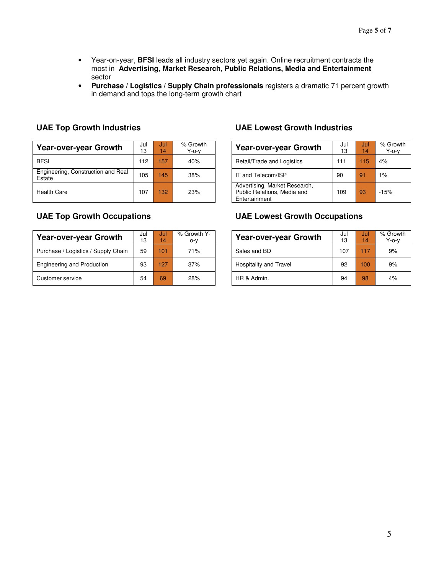- Year-on-year, **BFSI** leads all industry sectors yet again. Online recruitment contracts the most in **Advertising, Market Research, Public Relations, Media and Entertainment**  sector
- **Purchase / Logistics / Supply Chain professionals** registers a dramatic 71 percent growth in demand and tops the long-term growth chart

| <b>Year-over-year Growth</b>                 | Jul<br>13 | Jul<br>14 | % Growth<br>Y-o-v |                    | <b>Year-over-year Growth</b>                                 | Jul<br>13    | Jul<br>14 |
|----------------------------------------------|-----------|-----------|-------------------|--------------------|--------------------------------------------------------------|--------------|-----------|
| <b>BFSI</b>                                  | 12        | 157       | 40%               |                    | Retail/Trade and Logistics                                   | $11^{\circ}$ | 15        |
| Engineering, Construction and Real<br>Estate | 105       | 145       | 38%               | IT and Telecom/ISP |                                                              | 90           | 91        |
| <b>Health Care</b>                           | 107       | 132       | 23%               | Entertainment      | Advertising, Market Research,<br>Public Relations, Media and | 109          | 93        |

| <b>Year-over-year Growth</b>        | Jul<br>13 | Jul<br>14 | % Growth Y-<br>$O-V$ | <b>Year-over-year Growth</b> | Jul<br>13 | Jul<br>14 | $%$ Grov<br>Y-0-\ |
|-------------------------------------|-----------|-----------|----------------------|------------------------------|-----------|-----------|-------------------|
| Purchase / Logistics / Supply Chain | 59        | 101       | 71%                  | Sales and BD                 | 107       | 117       | 9%                |
| <b>Engineering and Production</b>   | 93        | 127       | 37%                  | Hospitality and Travel       | 92        | 100       | 9%                |
| Customer service                    | 54        | 69        | 28%                  | HR & Admin.                  | 94        | 98        | 4%                |

## **UAE Top Growth Industries UAE Lowest Growth Industries**

| Growth<br>Y-o-v | <b>Year-over-year Growth</b>                                                  | Jul<br>13 | Jul<br>14 | % Growth<br>$Y$ -o-v |
|-----------------|-------------------------------------------------------------------------------|-----------|-----------|----------------------|
| 40%             | Retail/Trade and Logistics                                                    | 111       | 115       | 4%                   |
| 38%             | IT and Telecom/ISP                                                            | 90        | 91        | 1%                   |
| 23%             | Advertising, Market Research,<br>Public Relations, Media and<br>Entertainment | 109       | 93        | $-15%$               |

## **UAE Top Growth Occupations UAE Lowest Growth Occupations**

| owth Y-<br>o-v | <b>Year-over-year Growth</b>  | Jul<br>13 | Jul<br>14 | % Growth<br>$Y$ -o-v |
|----------------|-------------------------------|-----------|-----------|----------------------|
| 71%            | Sales and BD                  | 107       | 117       | 9%                   |
| 37%            | <b>Hospitality and Travel</b> | 92        | 100       | 9%                   |
| 28%            | HR & Admin.                   | 94        | 98        | 4%                   |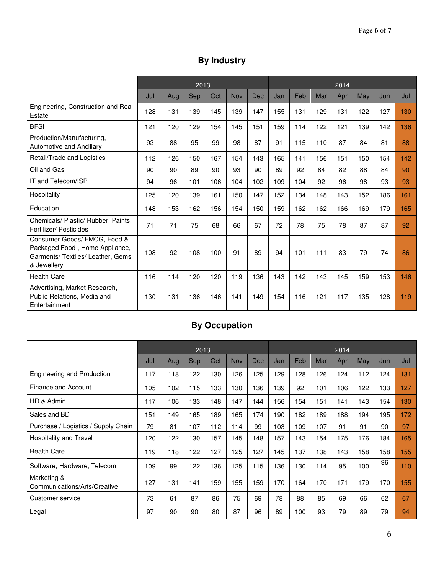# **By Industry**

|                                                                                                                    | 2013 |     |            |     |            |     |     | 2014 |     |     |     |     |     |  |
|--------------------------------------------------------------------------------------------------------------------|------|-----|------------|-----|------------|-----|-----|------|-----|-----|-----|-----|-----|--|
|                                                                                                                    | Jul  | Aug | <b>Sep</b> | Oct | <b>Nov</b> | Dec | Jan | Feb  | Mar | Apr | May | Jun | Jul |  |
| Engineering, Construction and Real<br>Estate                                                                       | 128  | 131 | 139        | 145 | 139        | 147 | 155 | 131  | 129 | 131 | 122 | 127 | 130 |  |
| <b>BFSI</b>                                                                                                        | 121  | 120 | 129        | 154 | 145        | 151 | 159 | 114  | 122 | 121 | 139 | 142 | 136 |  |
| Production/Manufacturing,<br><b>Automotive and Ancillary</b>                                                       | 93   | 88  | 95         | 99  | 98         | 87  | 91  | 115  | 110 | 87  | 84  | 81  | 88  |  |
| Retail/Trade and Logistics                                                                                         | 112  | 126 | 150        | 167 | 154        | 143 | 165 | 141  | 156 | 151 | 150 | 154 | 142 |  |
| Oil and Gas                                                                                                        | 90   | 90  | 89         | 90  | 93         | 90  | 89  | 92   | 84  | 82  | 88  | 84  | 90  |  |
| IT and Telecom/ISP                                                                                                 | 94   | 96  | 101        | 106 | 104        | 102 | 109 | 104  | 92  | 96  | 98  | 93  | 93  |  |
| Hospitality                                                                                                        | 125  | 120 | 139        | 161 | 150        | 147 | 152 | 134  | 148 | 143 | 152 | 186 | 161 |  |
| Education                                                                                                          | 148  | 153 | 162        | 156 | 154        | 150 | 159 | 162  | 162 | 166 | 169 | 179 | 165 |  |
| Chemicals/ Plastic/ Rubber, Paints,<br>Fertilizer/ Pesticides                                                      | 71   | 71  | 75         | 68  | 66         | 67  | 72  | 78   | 75  | 78  | 87  | 87  | 92  |  |
| Consumer Goods/ FMCG, Food &<br>Packaged Food, Home Appliance,<br>Garments/ Textiles/ Leather, Gems<br>& Jewellery | 108  | 92  | 108        | 100 | 91         | 89  | 94  | 101  | 111 | 83  | 79  | 74  | 86  |  |
| <b>Health Care</b>                                                                                                 | 116  | 114 | 120        | 120 | 119        | 136 | 143 | 142  | 143 | 145 | 159 | 153 | 146 |  |
| Advertising, Market Research,<br>Public Relations, Media and<br>Entertainment                                      | 130  | 131 | 136        | 146 | 141        | 149 | 154 | 116  | 121 | 117 | 135 | 128 | 119 |  |

# **By Occupation**

|                                             | 2013 |     |            |     |     |            |     | 2014 |     |     |     |     |     |  |  |
|---------------------------------------------|------|-----|------------|-----|-----|------------|-----|------|-----|-----|-----|-----|-----|--|--|
|                                             | Jul  | Aug | <b>Sep</b> | Oct | Nov | <b>Dec</b> | Jan | Feb  | Mar | Apr | May | Jun | Jul |  |  |
| <b>Engineering and Production</b>           | 117  | 118 | 122        | 130 | 126 | 125        | 129 | 128  | 126 | 124 | 112 | 124 | 131 |  |  |
| Finance and Account                         | 105  | 102 | 115        | 133 | 130 | 136        | 139 | 92   | 101 | 106 | 122 | 133 | 127 |  |  |
| HR & Admin.                                 | 117  | 106 | 133        | 148 | 147 | 144        | 156 | 154  | 151 | 141 | 143 | 154 | 130 |  |  |
| Sales and BD                                | 151  | 149 | 165        | 189 | 165 | 174        | 190 | 182  | 189 | 188 | 194 | 195 | 172 |  |  |
| Purchase / Logistics / Supply Chain         | 79   | 81  | 107        | 112 | 114 | 99         | 103 | 109  | 107 | 91  | 91  | 90  | 97  |  |  |
| Hospitality and Travel                      | 120  | 122 | 130        | 157 | 145 | 148        | 157 | 143  | 154 | 175 | 176 | 184 | 165 |  |  |
| <b>Health Care</b>                          | 119  | 118 | 122        | 127 | 125 | 127        | 145 | 137  | 138 | 143 | 158 | 158 | 155 |  |  |
| Software, Hardware, Telecom                 | 109  | 99  | 122        | 136 | 125 | 115        | 136 | 130  | 114 | 95  | 100 | 96  | 110 |  |  |
| Marketing &<br>Communications/Arts/Creative | 127  | 131 | 141        | 159 | 155 | 159        | 170 | 164  | 170 | 171 | 179 | 170 | 155 |  |  |
| Customer service                            | 73   | 61  | 87         | 86  | 75  | 69         | 78  | 88   | 85  | 69  | 66  | 62  | 67  |  |  |
| Legal                                       | 97   | 90  | 90         | 80  | 87  | 96         | 89  | 100  | 93  | 79  | 89  | 79  | 94  |  |  |